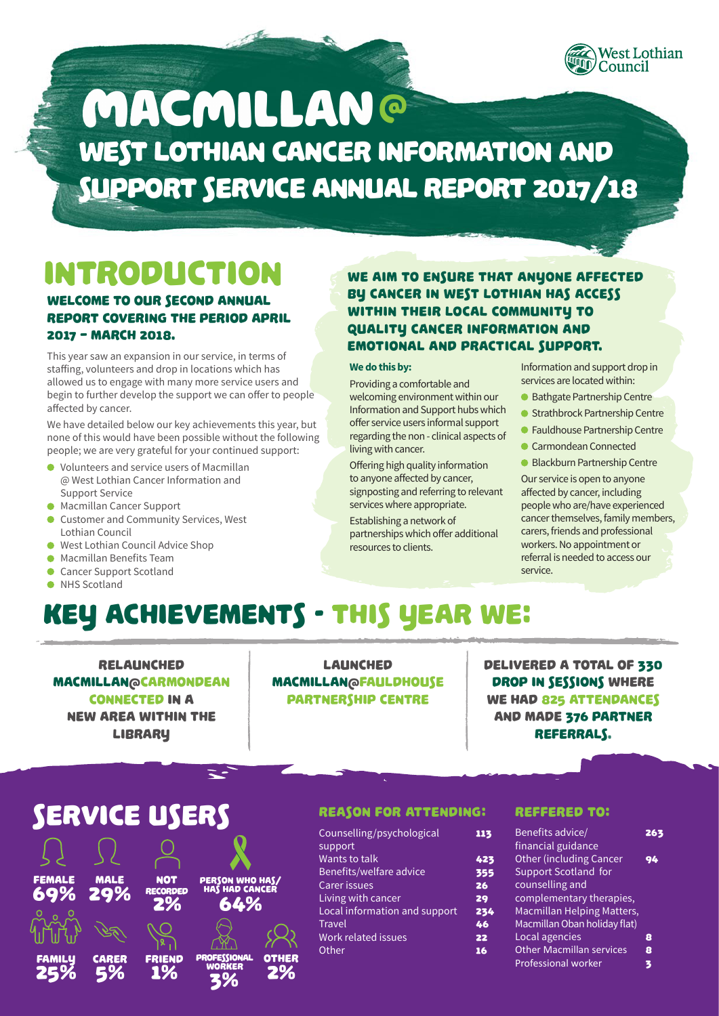

# West Lothian Cancer Information and Support Service Annual Report 2017/18 **MACMILLAN®**

# Introduction

### Welcome to our second annual report covering the period April 2017 – March 2018.

This year saw an expansion in our service, in terms of staffing, volunteers and drop in locations which has allowed us to engage with many more service users and begin to further develop the support we can offer to people affected by cancer.

We have detailed below our key achievements this year, but none of this would have been possible without the following people; we are very grateful for your continued support:

- Volunteers and service users of Macmillan @ West Lothian Cancer Information and Support Service
- **Macmillan Cancer Support**
- **Customer and Community Services, West** Lothian Council
- West Lothian Council Advice Shop
- Macmillan Benefits Team
- Cancer Support Scotland
- O NHS Scotland

### WE AIM TO ENSURE THAT ANYONE AFFECTED by cancer in West Lothian has access within their local community to quality cancer information and emotional and practical support.

#### **We do this by:**

Providing a comfortable and welcoming environment within our Information and Support hubs which offer service users informal support regarding the non - clinical aspects of living with cancer.

Offering high quality information to anyone affected by cancer, signposting and referring to relevant services where appropriate.

Establishing a network of partnerships which offer additional resources to clients.

Information and support drop in services are located within:

- Bathgate Partnership Centre
- Strathbrock Partnership Centre
- **•** Fauldhouse Partnership Centre
- Carmondean Connected
- Blackburn Partnership Centre

Our service is open to anyone affected by cancer, including people who are/have experienced cancer themselves, family members, carers, friends and professional workers. No appointment or referral is needed to access our service.

# Key achievements - THis year we:

relaunched Macmillan@Carmondean Connected in a new area within the **LIBRARY** 

launched Macmillan@Fauldhouse Partnership Centre

Delivered a total of 330 drop in sessions where WE HAD 825 ATTENDANCES and made 376 PARTNER referrals.

## Service Users



#### Reason for attending:

| Counselling/psychological     | 113 |
|-------------------------------|-----|
| support                       |     |
| Wants to talk                 | 423 |
| Benefits/welfare advice       | 355 |
| <b>Carer issues</b>           | 26  |
| Living with cancer            | 29  |
| Local information and support | 234 |
| <b>Travel</b>                 | 46  |
| Work related issues           | 22  |
| Other                         | 16  |
|                               |     |

### REFFERED TO:

| Benefits advice/                | 26 |
|---------------------------------|----|
| financial guidance              |    |
| <b>Other (including Cancer</b>  | 94 |
| <b>Support Scotland for</b>     |    |
| counselling and                 |    |
| complementary therapies,        |    |
| Macmillan Helping Matters,      |    |
| Macmillan Oban holiday flat)    |    |
| Local agencies                  | 8  |
| <b>Other Macmillan services</b> | 8  |
| <b>Professional worker</b>      | 3  |